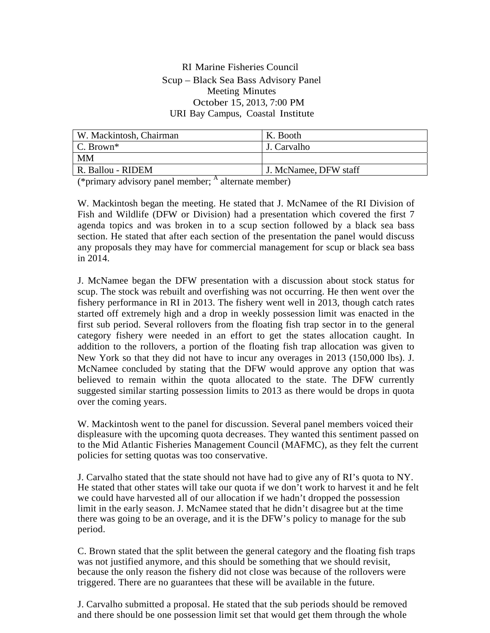#### RI Marine Fisheries Council Scup – Black Sea Bass Advisory Panel Meeting Minutes October 15, 2013, 7:00 PM URI Bay Campus, Coastal Institute

| W. Mackintosh, Chairman | K. Booth              |
|-------------------------|-----------------------|
| C. Brown <sup>*</sup>   | J. Carvalho           |
| МM                      |                       |
| R. Ballou - RIDEM       | J. McNamee, DFW staff |

 $(*\text{primary advisory panel member};$  A alternate member)

W. Mackintosh began the meeting. He stated that J. McNamee of the RI Division of Fish and Wildlife (DFW or Division) had a presentation which covered the first 7 agenda topics and was broken in to a scup section followed by a black sea bass section. He stated that after each section of the presentation the panel would discuss any proposals they may have for commercial management for scup or black sea bass in 2014.

J. McNamee began the DFW presentation with a discussion about stock status for scup. The stock was rebuilt and overfishing was not occurring. He then went over the fishery performance in RI in 2013. The fishery went well in 2013, though catch rates started off extremely high and a drop in weekly possession limit was enacted in the first sub period. Several rollovers from the floating fish trap sector in to the general category fishery were needed in an effort to get the states allocation caught. In addition to the rollovers, a portion of the floating fish trap allocation was given to New York so that they did not have to incur any overages in 2013 (150,000 lbs). J. McNamee concluded by stating that the DFW would approve any option that was believed to remain within the quota allocated to the state. The DFW currently suggested similar starting possession limits to 2013 as there would be drops in quota over the coming years.

W. Mackintosh went to the panel for discussion. Several panel members voiced their displeasure with the upcoming quota decreases. They wanted this sentiment passed on to the Mid Atlantic Fisheries Management Council (MAFMC), as they felt the current policies for setting quotas was too conservative.

J. Carvalho stated that the state should not have had to give any of RI's quota to NY. He stated that other states will take our quota if we don't work to harvest it and he felt we could have harvested all of our allocation if we hadn't dropped the possession limit in the early season. J. McNamee stated that he didn't disagree but at the time there was going to be an overage, and it is the DFW's policy to manage for the sub period.

C. Brown stated that the split between the general category and the floating fish traps was not justified anymore, and this should be something that we should revisit, because the only reason the fishery did not close was because of the rollovers were triggered. There are no guarantees that these will be available in the future.

J. Carvalho submitted a proposal. He stated that the sub periods should be removed and there should be one possession limit set that would get them through the whole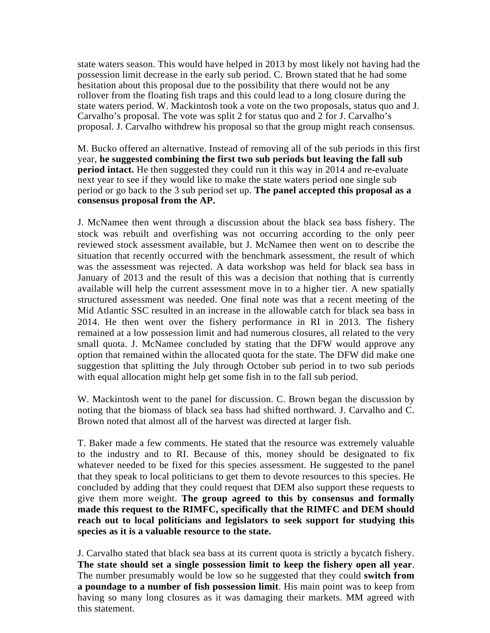state waters season. This would have helped in 2013 by most likely not having had the possession limit decrease in the early sub period. C. Brown stated that he had some hesitation about this proposal due to the possibility that there would not be any rollover from the floating fish traps and this could lead to a long closure during the state waters period. W. Mackintosh took a vote on the two proposals, status quo and J. Carvalho's proposal. The vote was split 2 for status quo and 2 for J. Carvalho's proposal. J. Carvalho withdrew his proposal so that the group might reach consensus.

M. Bucko offered an alternative. Instead of removing all of the sub periods in this first year, **he suggested combining the first two sub periods but leaving the fall sub period intact.** He then suggested they could run it this way in 2014 and re-evaluate next year to see if they would like to make the state waters period one single sub period or go back to the 3 sub period set up. **The panel accepted this proposal as a consensus proposal from the AP.**

J. McNamee then went through a discussion about the black sea bass fishery. The stock was rebuilt and overfishing was not occurring according to the only peer reviewed stock assessment available, but J. McNamee then went on to describe the situation that recently occurred with the benchmark assessment, the result of which was the assessment was rejected. A data workshop was held for black sea bass in January of 2013 and the result of this was a decision that nothing that is currently available will help the current assessment move in to a higher tier. A new spatially structured assessment was needed. One final note was that a recent meeting of the Mid Atlantic SSC resulted in an increase in the allowable catch for black sea bass in 2014. He then went over the fishery performance in RI in 2013. The fishery remained at a low possession limit and had numerous closures, all related to the very small quota. J. McNamee concluded by stating that the DFW would approve any option that remained within the allocated quota for the state. The DFW did make one suggestion that splitting the July through October sub period in to two sub periods with equal allocation might help get some fish in to the fall sub period.

W. Mackintosh went to the panel for discussion. C. Brown began the discussion by noting that the biomass of black sea bass had shifted northward. J. Carvalho and C. Brown noted that almost all of the harvest was directed at larger fish.

T. Baker made a few comments. He stated that the resource was extremely valuable to the industry and to RI. Because of this, money should be designated to fix whatever needed to be fixed for this species assessment. He suggested to the panel that they speak to local politicians to get them to devote resources to this species. He concluded by adding that they could request that DEM also support these requests to give them more weight. **The group agreed to this by consensus and formally made this request to the RIMFC, specifically that the RIMFC and DEM should reach out to local politicians and legislators to seek support for studying this species as it is a valuable resource to the state.**

J. Carvalho stated that black sea bass at its current quota is strictly a bycatch fishery. **The state should set a single possession limit to keep the fishery open all year**. The number presumably would be low so he suggested that they could **switch from a poundage to a number of fish possession limit**. His main point was to keep from having so many long closures as it was damaging their markets. MM agreed with this statement.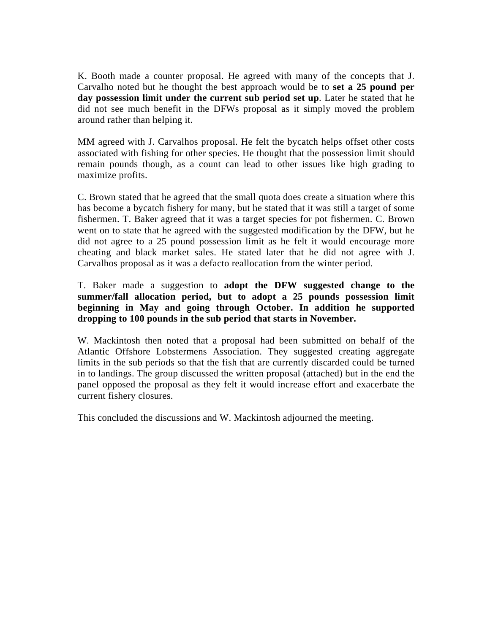K. Booth made a counter proposal. He agreed with many of the concepts that J. Carvalho noted but he thought the best approach would be to **set a 25 pound per day possession limit under the current sub period set up**. Later he stated that he did not see much benefit in the DFWs proposal as it simply moved the problem around rather than helping it.

MM agreed with J. Carvalhos proposal. He felt the bycatch helps offset other costs associated with fishing for other species. He thought that the possession limit should remain pounds though, as a count can lead to other issues like high grading to maximize profits.

C. Brown stated that he agreed that the small quota does create a situation where this has become a bycatch fishery for many, but he stated that it was still a target of some fishermen. T. Baker agreed that it was a target species for pot fishermen. C. Brown went on to state that he agreed with the suggested modification by the DFW, but he did not agree to a 25 pound possession limit as he felt it would encourage more cheating and black market sales. He stated later that he did not agree with J. Carvalhos proposal as it was a defacto reallocation from the winter period.

#### T. Baker made a suggestion to **adopt the DFW suggested change to the summer/fall allocation period, but to adopt a 25 pounds possession limit beginning in May and going through October. In addition he supported dropping to 100 pounds in the sub period that starts in November.**

W. Mackintosh then noted that a proposal had been submitted on behalf of the Atlantic Offshore Lobstermens Association. They suggested creating aggregate limits in the sub periods so that the fish that are currently discarded could be turned in to landings. The group discussed the written proposal (attached) but in the end the panel opposed the proposal as they felt it would increase effort and exacerbate the current fishery closures.

This concluded the discussions and W. Mackintosh adjourned the meeting.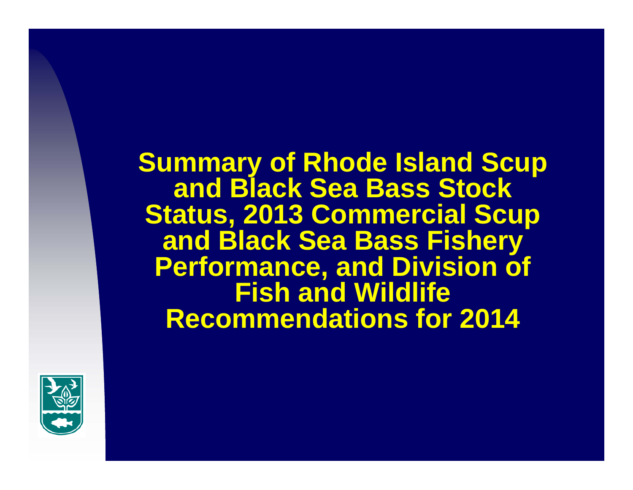**Summary of Rhode Island Scup and Black Sea Bass Stock Status, 2013 Commercial Scup and Black Sea Bass Fishery Performance, and Division of Fish and Wildlife Recommendations for 2014**

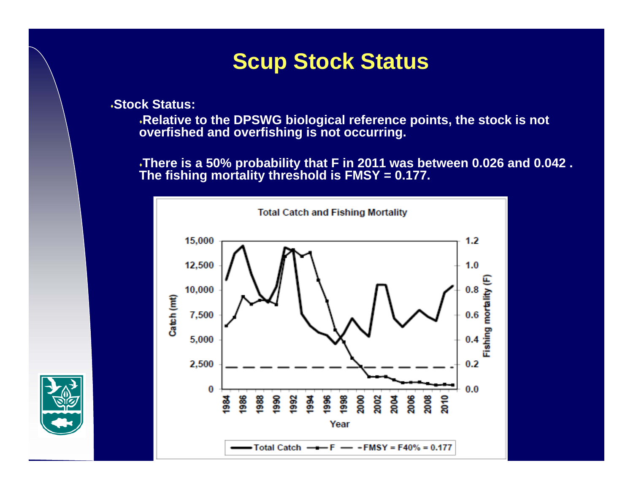## **Scup Stock Status**

**Stock Status:**

**Relative to the DPSWG biological reference points, the stock is not overfished and overfishing is not occurring.** 

**There is a 50% probability that F in 2011 was between 0.026 and 0.042 . The fishing mortality threshold is FMSY = 0.177.**



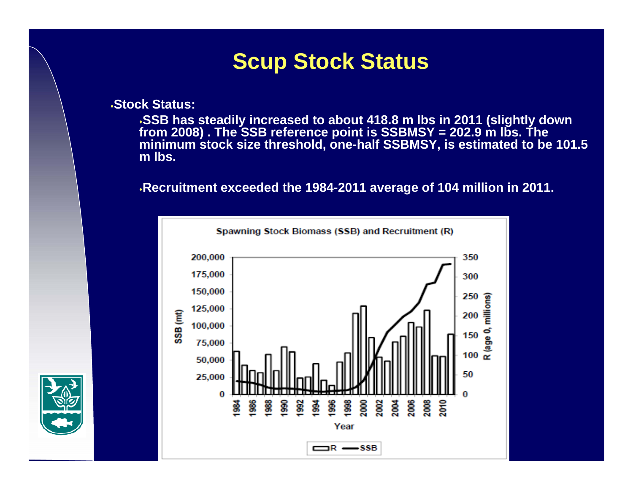## **Scup Stock Status**

**Stock Status:**

**SSB has steadily increased to about 418.8 m lbs in 2011 (slightly down from 2008) . The SSB reference point is SSBMSY = 202.9 m lbs. The minimum stock size threshold, one-half SSBMSY, is estimated to be 101.5 m lbs.**

**Recruitment exceeded the 1984-2011 average of 104 million in 2011.**



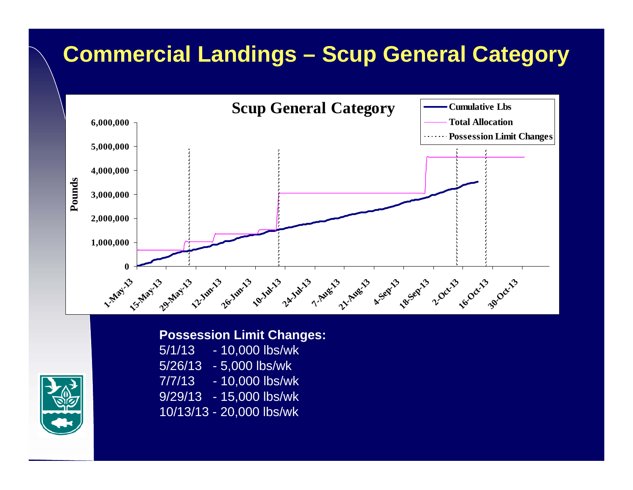# **Commercial Landings – Scup General Category**





#### **Possession Limit Changes:**

5/1/13 - 10,000 lbs/wk 5/26/13 - 5,000 lbs/wk 7/7/13 - 10,000 lbs/wk 9/29/13 - 15,000 lbs/wk 10/13/13 - 20,000 lbs/wk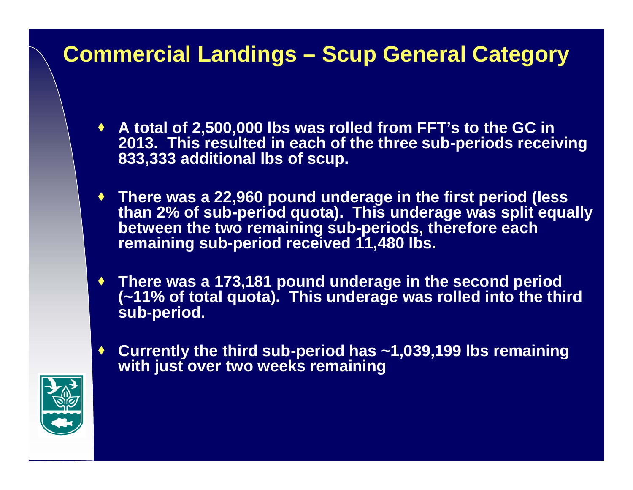## **Commercial Landings – Scup General Category**

- **A total of 2,500,000 lbs was rolled from FFT's to the GC in 2013. This resulted in each of the three sub-periods receiving 833,333 additional lbs of scup.**
- **There was a 22,960 pound underage in the first period (less than 2% of sub-period quota). This underage was split equally between the two remaining sub-periods, therefore each remaining sub-period received 11,480 lbs.**
- **There was a 173,181 pound underage in the second period (~11% of total quota). This underage was rolled into the third sub-period.**
- ♦ **Currently the third sub-period has ~1,039,199 lbs remaining with just over two weeks remaining**

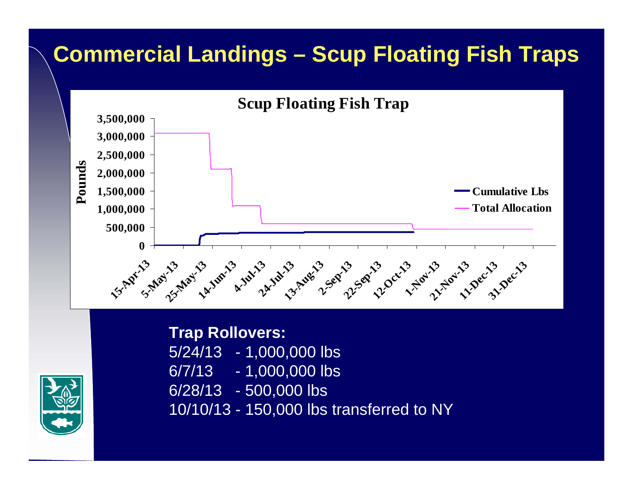# **Commercial Landings – Scup Floating Fish Traps**





**Trap Rollovers:**  $5/24/13 - 1,000,000$  lbs 6/7/13 - 1,000,000 lbs 6/28/13 - 500,000 lbs 10/10/13 - 150,000 lbs transferred to NY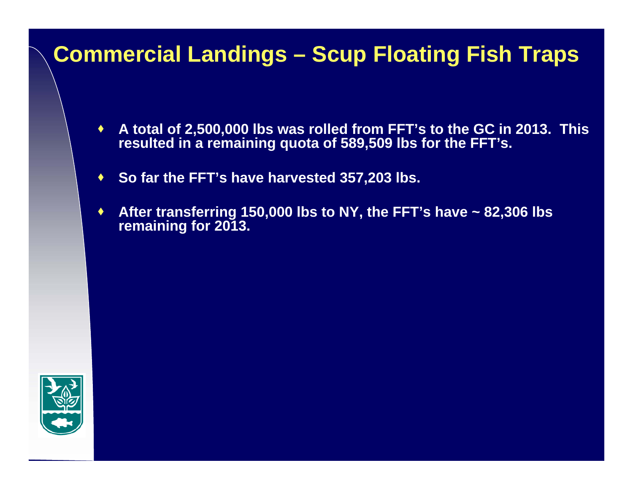## **Commercial Landings – Scup Floating Fish Traps**

- ۰ **A total of 2,500,000 lbs was rolled from FFT's to the GC in 2013. This resulted in a remaining quota of 589,509 lbs for the FFT's.**
- $\blacklozenge$ **So far the FFT's have harvested 357,203 lbs.**
- ٠ **After transferring 150,000 lbs to NY, the FFT's have ~ 82,306 lbs remaining for 2013.**

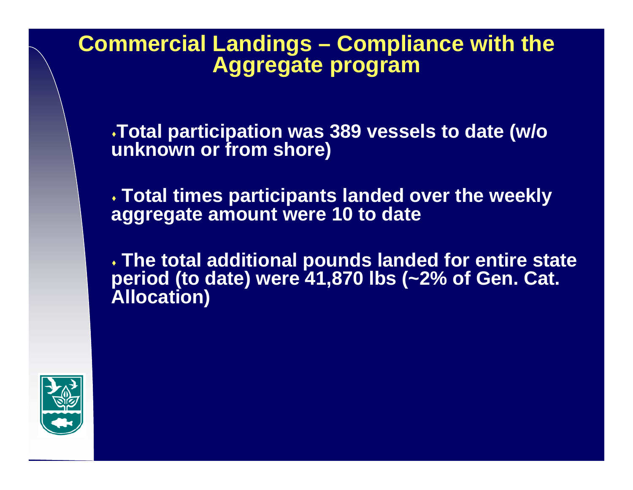### **Commercial Landings – Compliance with the Aggregate program**

**Total participation was 389 vessels to date (w/o unknown or from shore)**

 **Total times participants landed over the weekly aggregate amount were 10 to date**

 **The total additional pounds landed for entire state period (to date) were 41,870 lbs (~2% of Gen. Cat. Allocation)**

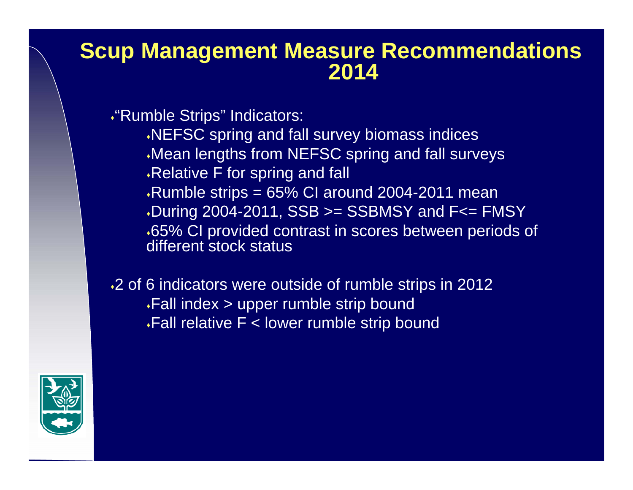#### **Scup Management Measure Recommendations 2014**

"Rumble Strips" Indicators:

NEFSC spring and fall survey biomass indices Mean lengths from NEFSC spring and fall surveys Relative F for spring and fall  $\cdot$ Rumble strips = 65% CI around 2004-2011 mean During 2004-2011,  $SSB \geq$  SSBMSY and F $\leq$  FMSY 65% CI provided contrast in scores between periods of different stock status

2 of 6 indicators were outside of rumble strips in 2012 Fall index > upper rumble strip bound  $\cdot$ Fall relative F < lower rumble strip bound

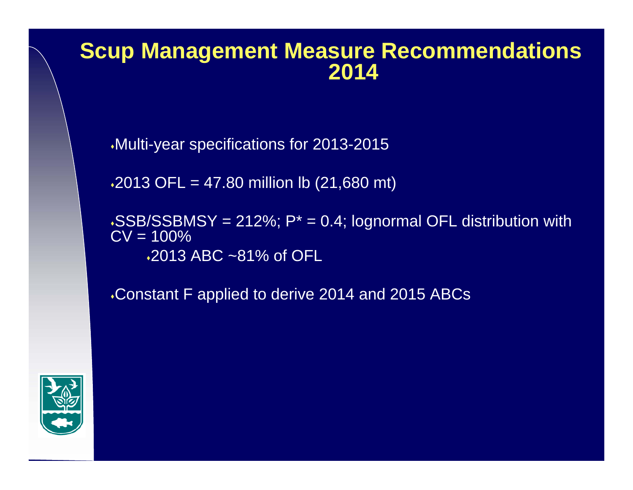#### **Scup Management Measure Recommendations 2014**

Multi-year specifications for 2013-2015

 $\cdot 2013$  OFL = 47.80 million lb  $(21,680$  mt)

 $\cdot$ SSB/SSBMSY = 212%; P<sup>\*</sup> = 0.4; lognormal OFL distribution with  $\overline{CV} = 100\%$ 2013 ABC ~81% of OFL

Constant F applied to derive 2014 and 2015 ABCs

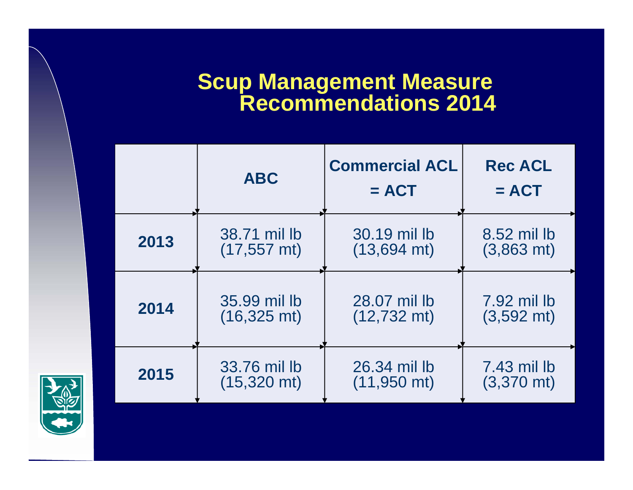### **Scup Management Measure Recommendations 2014**

|      | <b>ABC</b>            | <b>Commercial ACL</b><br>$= ACT$ | <b>Rec ACL</b><br>$= ACT$ |
|------|-----------------------|----------------------------------|---------------------------|
| 2013 | 38.71 mil lb          | 30.19 mil lb                     | 8.52 mil lb               |
|      | $(17, 557$ mt)        | $(13,694 \text{ mt})$            | $(3,863 \text{ mt})$      |
| 2014 | 35.99 mil lb          | 28.07 mil lb                     | 7.92 mil lb               |
|      | $(16,325 \text{ mt})$ | $(12,732 \text{ mt})$            | $(3,592 \text{ mt})$      |
| 2015 | 33.76 mil lb          | 26.34 mil lb                     | 7.43 mil lb               |
|      | $(15,320 \text{ mt})$ | $(11,950$ mt)                    | $(3,370 \text{ mt})$      |

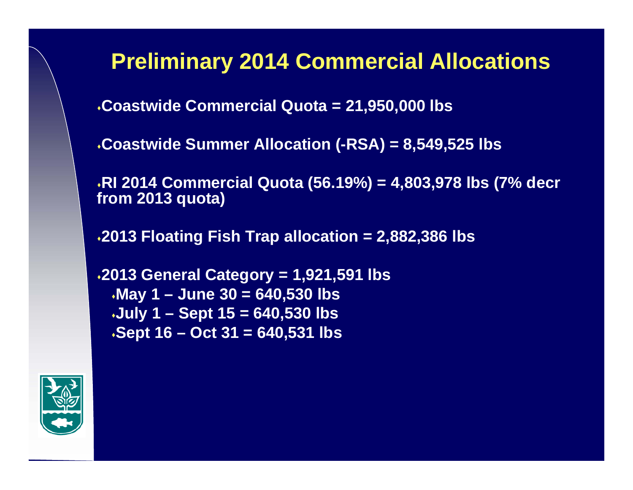## **Preliminary 2014 Commercial Allocations**

**Coastwide Commercial Quota = 21,950,000 lbs**

**Coastwide Summer Allocation (-RSA) = 8,549,525 lbs**

**RI 2014 Commercial Quota (56.19%) = 4,803,978 lbs (7% decr from 2013 quota)**

**2013 Floating Fish Trap allocation = 2,882,386 lbs**

```
2013 General Category = 1,921,591 lbs
May 1 – June 30 = 640,530 lbs
July 1 – Sept 15 = 640,530 lbs 
Sept 16 – Oct 31 = 640,531 lbs
```
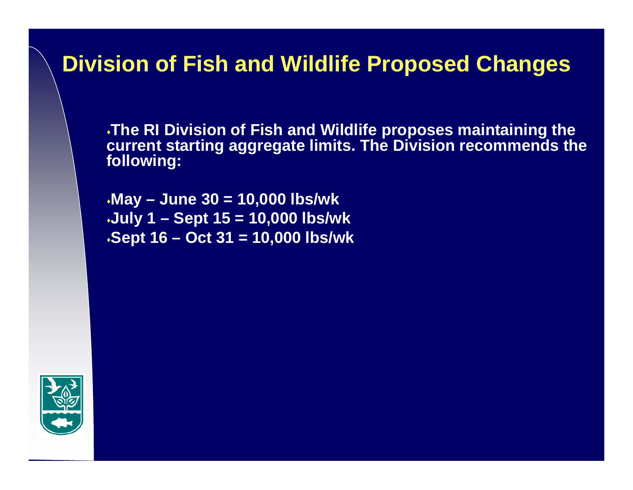## **Division of Fish and Wildlife Proposed Changes**

**The RI Division of Fish and Wildlife proposes maintaining the current starting aggregate limits. The Division recommends the following:**

**May – June 30 = 10,000 lbs/wk July 1 – Sept 15 = 10,000 lbs/wk Sept 16 – Oct 31 = 10,000 lbs/wk**

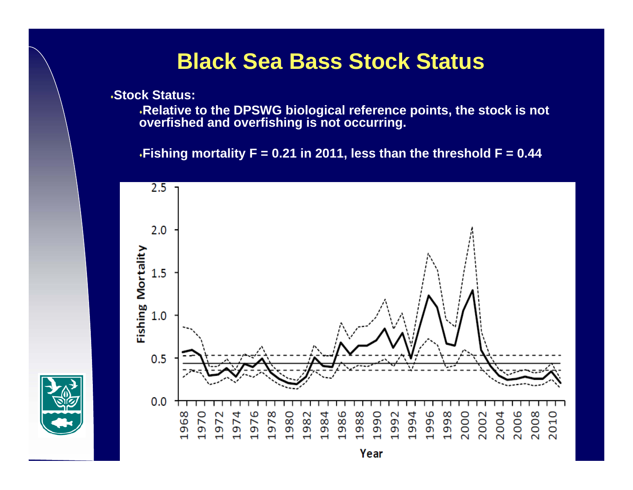### **Black Sea Bass Stock Status**

**Stock Status:**

**Relative to the DPSWG biological reference points, the stock is not overfished and overfishing is not occurring.** 

**Fishing mortality F = 0.21 in 2011, less than the threshold F = 0.44** 

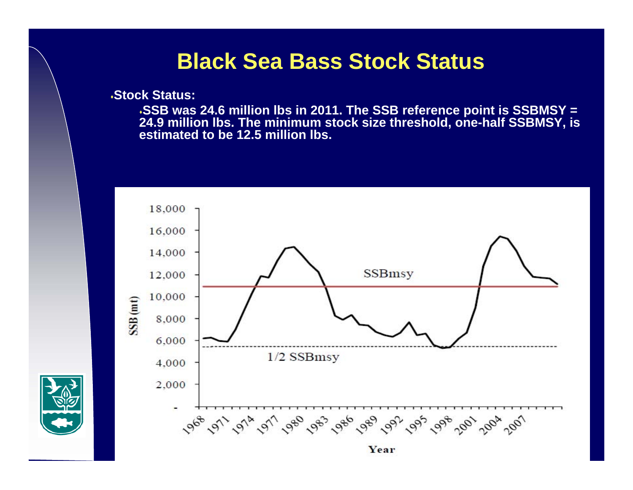#### **Black Sea Bass Stock Status**

**Stock Status:**

**SSB was 24.6 million lbs in 2011. The SSB reference point is SSBMSY = 24.9 million lbs. The minimum stock size threshold, one-half SSBMSY, is estimated to be 12.5 million lbs.** 



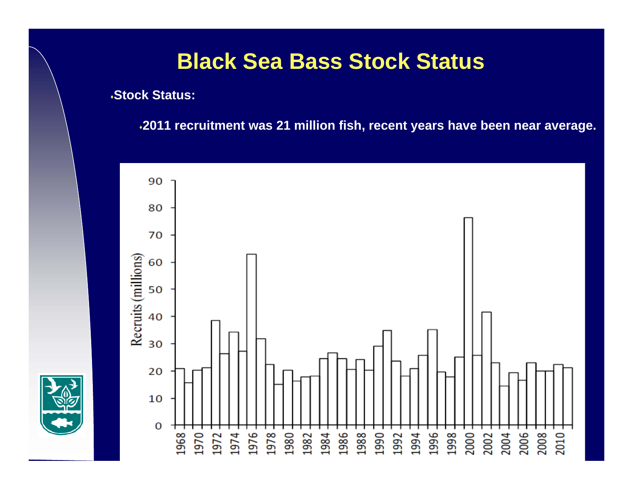## **Black Sea Bass Stock Status**

**Stock Status:**

**2011 recruitment was 21 million fish, recent years have been near average.** 

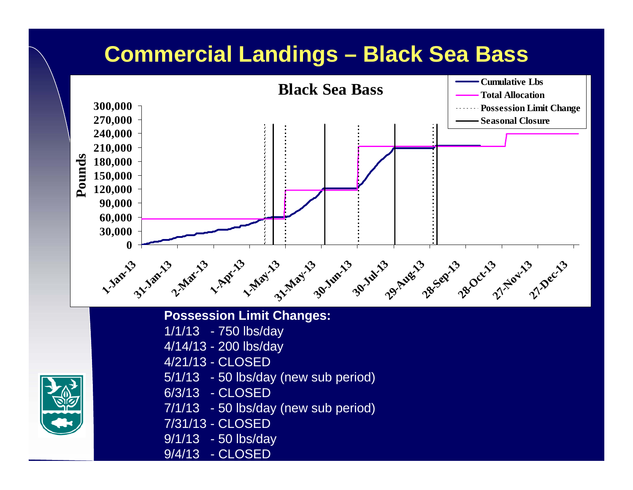## **Commercial Landings – Black Sea Bass**



#### **Possession Limit Changes:**

- 1/1/13 750 lbs/day
- 4/14/13 200 lbs/day
- 4/21/13 CLOSED
- 5/1/13 50 lbs/day (new sub period)
- 6/3/13 CLOSED
- 7/1/13 50 lbs/day (new sub period)
- 7/31/13 CLOSED
- 9/1/13 50 lbs/day
- 9/4/13 CLOSED

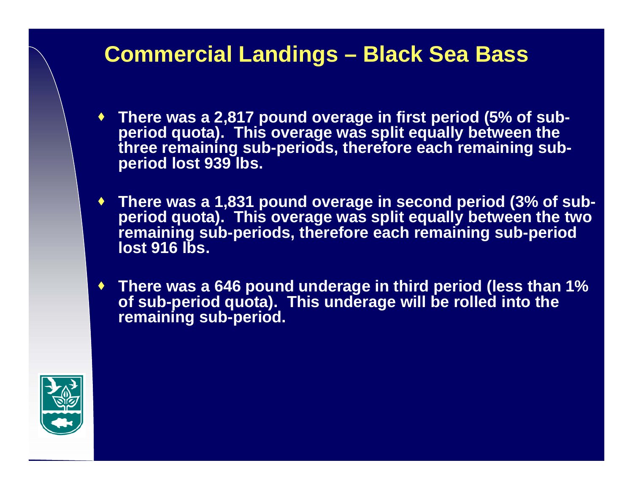## **Commercial Landings – Black Sea Bass**

- **There was a 2,817 pound overage in first period (5% of subperiod quota). This overage was split equally between the three remaining sub-periods, therefore each remaining subperiod lost 939 lbs.**
- **There was a 1,831 pound overage in second period (3% of subperiod quota). This overage was split equally between the two remaining sub-periods, therefore each remaining sub-period lost 916 lbs.**
- **There was a 646 pound underage in third period (less than 1% of sub-period quota). This underage will be rolled into the remaining sub-period.**

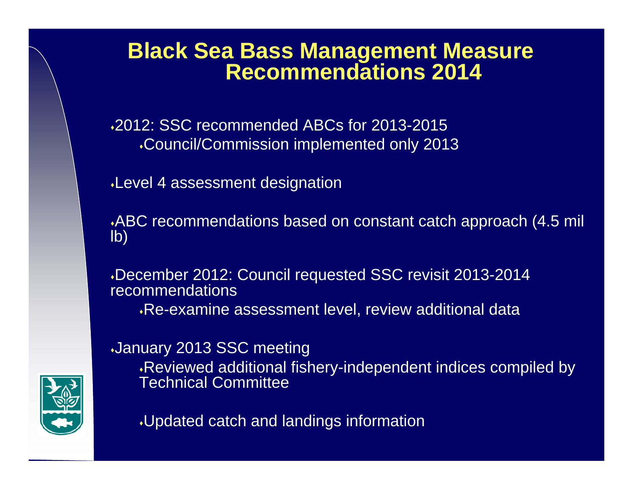2012: SSC recommended ABCs for 2013-2015 Council/Commission implemented only 2013

Level 4 assessment designation

ABC recommendations based on constant catch approach (4.5 mil lb)

December 2012: Council requested SSC revisit 2013-2014 recommendations

Re-examine assessment level, review additional data

January 2013 SSC meeting

Reviewed additional fishery-independent indices compiled by Technical Committee



Updated catch and landings information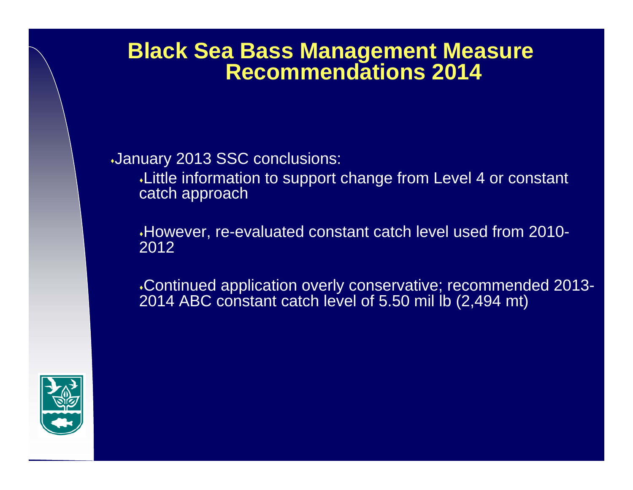#### January 2013 SSC conclusions:

Little information to support change from Level 4 or constant catch approach

However, re-evaluated constant catch level used from 2010- 2012

Continued application overly conservative; recommended 2013- 2014 ABC constant catch level of 5.50 mil lb (2,494 mt)

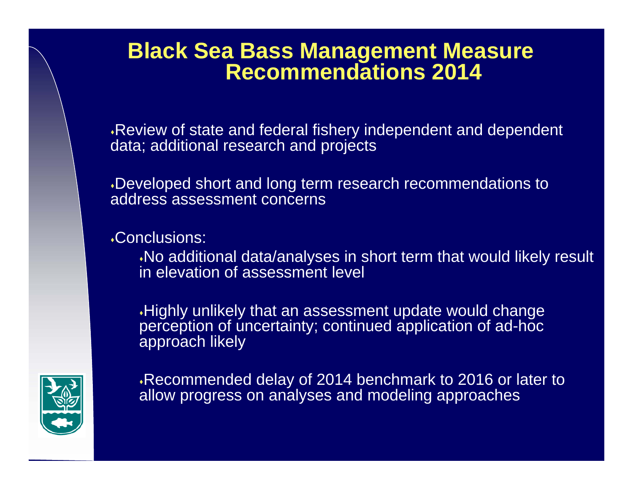Review of state and federal fishery independent and dependent data; additional research and projects

Developed short and long term research recommendations to address assessment concerns

Conclusions:

No additional data/analyses in short term that would likely result in elevation of assessment level

Highly unlikely that an assessment update would change perception of uncertainty; continued application of ad-hoc approach likely



Recommended delay of 2014 benchmark to 2016 or later to allow progress on analyses and modeling approaches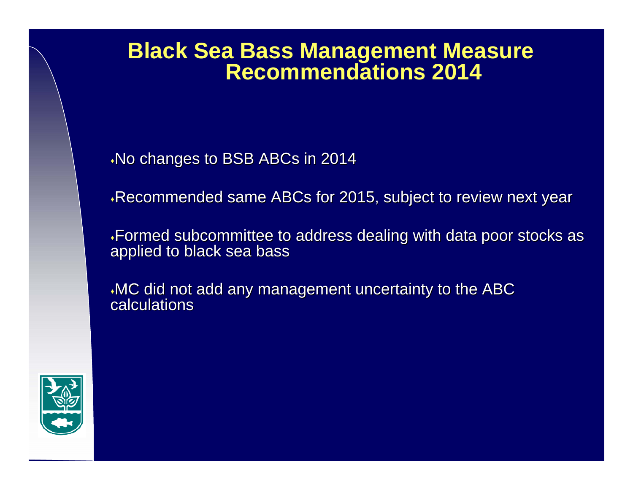$\cdot$ No changes to BSB ABCs in 2014

Recommended same ABCs for 2015, subject to review next year

Formed subcommittee to address dealing with data poor stocks as ing poor stocks as inductional poor stocks as inductional poor stocks applied to black sea bass

MC did not add any management uncertainty to the ABC calculations

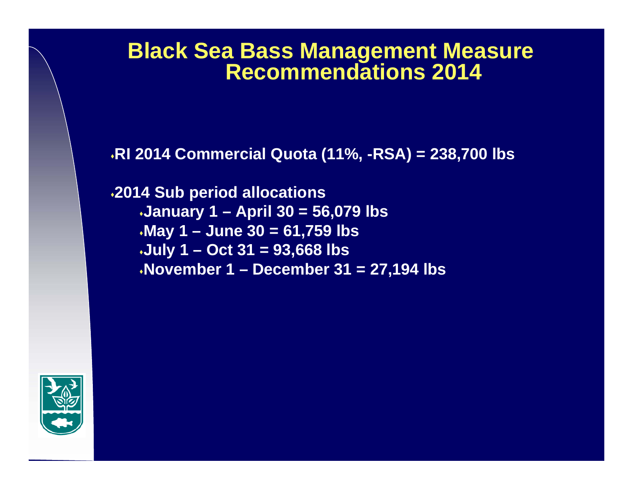**RI 2014 Commercial Quota (11%, -RSA) = 238,700 lbs**

**2014 Sub period allocations January 1 – April 30 = 56,079 lbs May 1 – June 30 = 61,759 lbs July 1 – Oct 31 = 93,668 lbs November 1 – December 31 = 27,194 lbs**